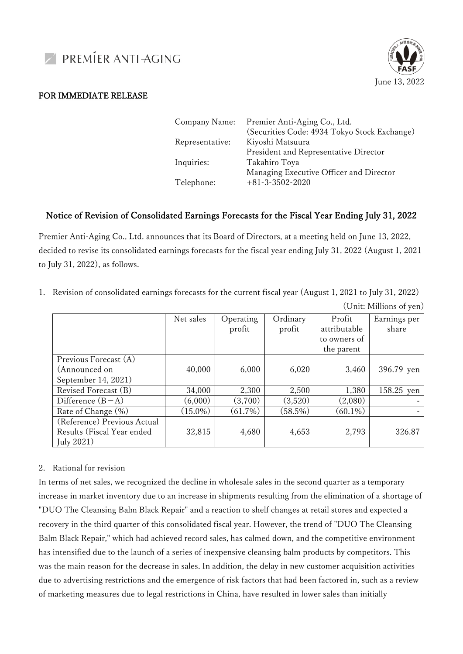



## FOR IMMEDIATE RELEASE

| Company Name:   | Premier Anti-Aging Co., Ltd.<br>(Securities Code: 4934 Tokyo Stock Exchange) |
|-----------------|------------------------------------------------------------------------------|
| Representative: | Kiyoshi Matsuura                                                             |
|                 | President and Representative Director                                        |
| Inquiries:      | Takahiro Toya                                                                |
|                 | Managing Executive Officer and Director                                      |
| Telephone:      | $+81-3-3502-2020$                                                            |
|                 |                                                                              |

## Notice of Revision of Consolidated Earnings Forecasts for the Fiscal Year Ending July 31, 2022

Premier Anti-Aging Co., Ltd. announces that its Board of Directors, at a meeting held on June 13, 2022, decided to revise its consolidated earnings forecasts for the fiscal year ending July 31, 2022 (August 1, 2021 to July 31, 2022), as follows.

1. Revision of consolidated earnings forecasts for the current fiscal year (August 1, 2021 to July 31, 2022)

| Net sales  | Operating | Ordinary   | Profit       | Earnings per |  |  |
|------------|-----------|------------|--------------|--------------|--|--|
|            | profit    | profit     | attributable | share        |  |  |
|            |           |            | to owners of |              |  |  |
|            |           |            | the parent   |              |  |  |
|            |           |            |              |              |  |  |
| 40,000     | 6,000     | 6,020      | 3,460        | 396.79 yen   |  |  |
|            |           |            |              |              |  |  |
| 34,000     | 2,300     | 2,500      | 1,380        | 158.25 yen   |  |  |
| (6,000)    | (3,700)   | (3,520)    | (2,080)      |              |  |  |
| $(15.0\%)$ | (61.7%)   | $(58.5\%)$ | $(60.1\%)$   |              |  |  |
|            |           |            |              |              |  |  |
| 32,815     | 4,680     | 4,653      | 2,793        | 326.87       |  |  |
|            |           |            |              |              |  |  |
|            |           |            |              |              |  |  |

(Unit: Millions of yen)

## 2. Rational for revision

In terms of net sales, we recognized the decline in wholesale sales in the second quarter as a temporary increase in market inventory due to an increase in shipments resulting from the elimination of a shortage of "DUO The Cleansing Balm Black Repair" and a reaction to shelf changes at retail stores and expected a recovery in the third quarter of this consolidated fiscal year. However, the trend of "DUO The Cleansing Balm Black Repair," which had achieved record sales, has calmed down, and the competitive environment has intensified due to the launch of a series of inexpensive cleansing balm products by competitors. This was the main reason for the decrease in sales. In addition, the delay in new customer acquisition activities due to advertising restrictions and the emergence of risk factors that had been factored in, such as a review of marketing measures due to legal restrictions in China, have resulted in lower sales than initially